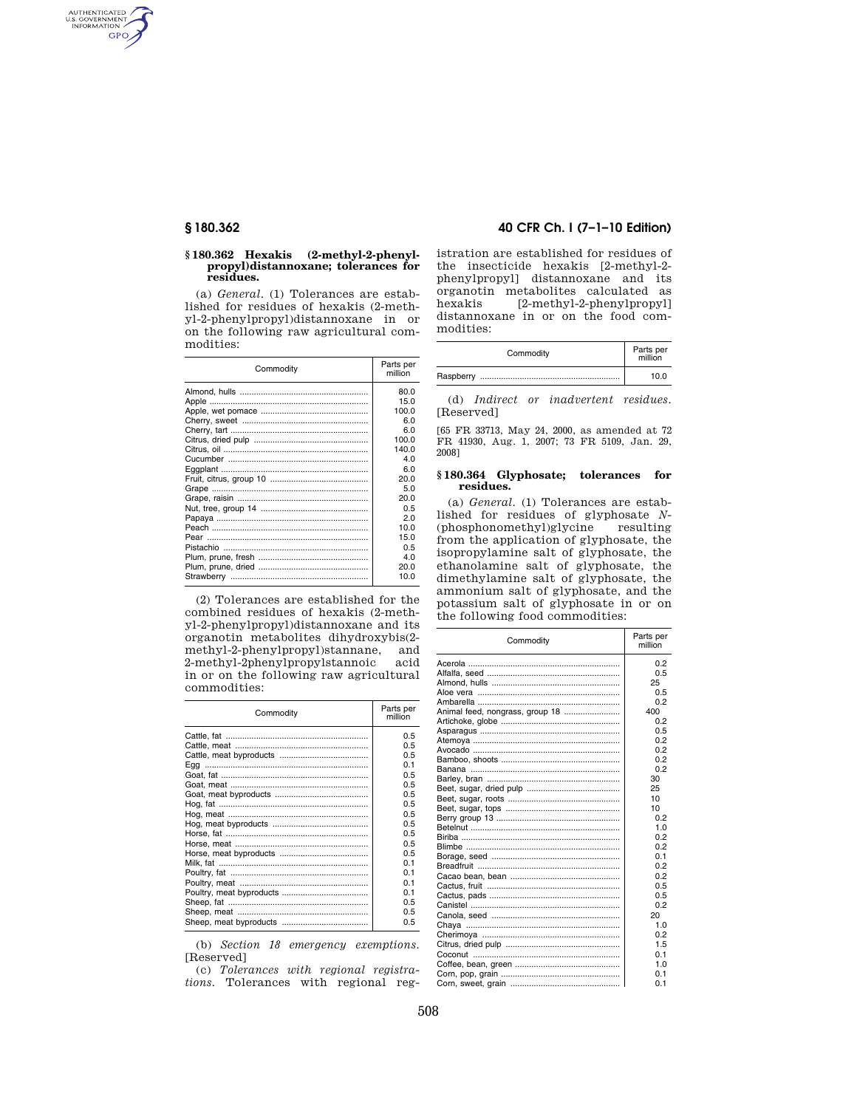AUTHENTICATED<br>U.S. GOVERNMENT<br>INFORMATION GPO

### **§ 180.362 Hexakis (2-methyl-2-phenylpropyl)distannoxane; tolerances for residues.**

(a) *General*. (1) Tolerances are established for residues of hexakis (2-methyl-2-phenylpropyl)distannoxane in or on the following raw agricultural commodities:

| Commodity | Parts per<br>million |
|-----------|----------------------|
|           | 80.0                 |
|           | 15.0                 |
|           | 100.0                |
|           | 6.0                  |
|           | 6.0                  |
|           | 100.0                |
|           | 140.0                |
|           | 4.0                  |
|           | 6.0                  |
|           | 20.0                 |
|           | 5.0                  |
|           | 20.0                 |
|           | 0.5                  |
|           | 20                   |
|           | 10.0                 |
|           | 15.0                 |
|           | 0.5                  |
|           | 4.0                  |
|           | 20.0                 |
|           | 10.0                 |

(2) Tolerances are established for the combined residues of hexakis (2-methyl-2-phenylpropyl)distannoxane and its organotin metabolites dihydroxybis(2 methyl-2-phenylpropyl)stannane, and 2-methyl-2phenylpropylstannoic acid in or on the following raw agricultural commodities:

| Commodity | Parts per<br>million |
|-----------|----------------------|
|           | 0.5                  |
|           | 0.5                  |
|           | 0.5                  |
|           | 0.1                  |
|           | 0.5                  |
|           | 0.5                  |
|           | 0.5                  |
|           | 0.5                  |
|           | 0.5                  |
|           | 0.5                  |
|           | 0.5                  |
|           | 0.5                  |
|           | 0.5                  |
|           | 01                   |
|           | 0.1                  |
|           | 0.1                  |
|           | 01                   |
|           | 0.5                  |
|           | 0.5                  |
|           | 0.5                  |

(b) *Section 18 emergency exemptions.*  [Reserved]

(c) *Tolerances with regional registrations.* Tolerances with regional reg-

## **§ 180.362 40 CFR Ch. I (7–1–10 Edition)**

istration are established for residues of the insecticide hexakis [2-methyl-2 phenylpropyl] distannoxane and its organotin metabolites calculated as  $[2-methyl-2-phenylpropyl]$ distannoxane in or on the food commodities:

| Commodity | Parts per<br>million |
|-----------|----------------------|
| Raspberry | 10.0                 |

(d) *Indirect or inadvertent residues.*  [Reserved]

[65 FR 33713, May 24, 2000, as amended at 72 FR 41930, Aug. 1, 2007; 73 FR 5109, Jan. 29, 2008]

## **§ 180.364 Glyphosate; tolerances for residues.**

(a) *General*. (1) Tolerances are established for residues of glyphosate *N*- (phosphonomethyl)glycine resulting from the application of glyphosate, the isopropylamine salt of glyphosate, the ethanolamine salt of glyphosate, the dimethylamine salt of glyphosate, the ammonium salt of glyphosate, and the potassium salt of glyphosate in or on the following food commodities:

| Commodity                       | Parts per<br>million |
|---------------------------------|----------------------|
|                                 | 0.2                  |
|                                 | 0.5                  |
|                                 | 25                   |
|                                 | 0.5                  |
|                                 | 0.2                  |
| Animal feed, nongrass, group 18 | 400                  |
|                                 | 0.2                  |
|                                 | 0.5                  |
|                                 | 0.2                  |
|                                 | 0.2                  |
|                                 | 0.2                  |
|                                 | 0.2                  |
|                                 | 30                   |
|                                 | 25                   |
|                                 | 10                   |
|                                 | 10                   |
|                                 | 0.2                  |
|                                 | 1.0                  |
|                                 | 0.2                  |
|                                 | 0.2                  |
|                                 | 0.1                  |
|                                 | 0.2                  |
|                                 | 0.2                  |
|                                 | 0.5                  |
|                                 | 0.5                  |
|                                 | 0.2                  |
|                                 | 20                   |
|                                 | 1.0                  |
|                                 | 0.2                  |
|                                 | 1.5                  |
|                                 | 0.1                  |
|                                 | 1.0                  |
|                                 | 0.1                  |
|                                 | 0.1                  |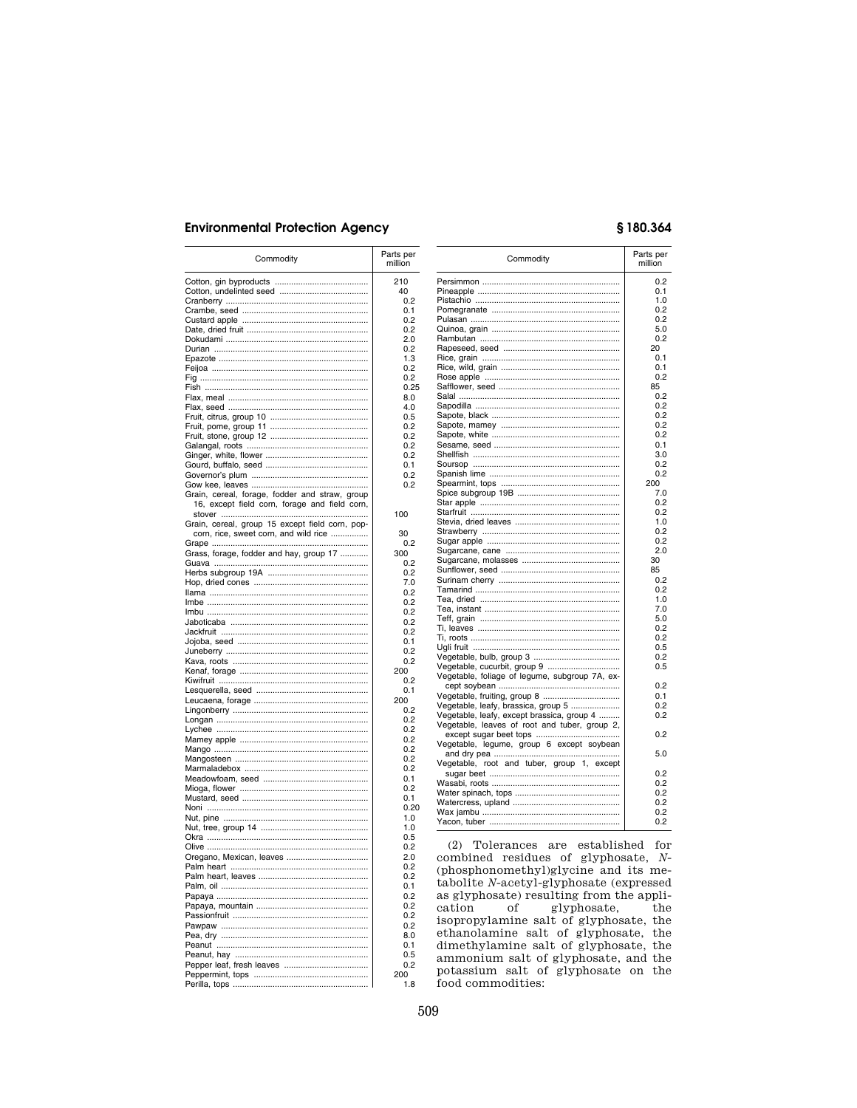# **Environmental Protection Agency**

| Commodity                                                                                | Parts per<br>million |
|------------------------------------------------------------------------------------------|----------------------|
|                                                                                          | 210                  |
|                                                                                          | 40                   |
|                                                                                          | 0.2                  |
|                                                                                          | 0.1                  |
|                                                                                          | 0.2                  |
|                                                                                          | 0.2                  |
|                                                                                          | 2.0<br>0.2           |
|                                                                                          | 1.3                  |
|                                                                                          | 0.2                  |
|                                                                                          | 0.2                  |
|                                                                                          | 0.25                 |
|                                                                                          | 8.0                  |
|                                                                                          | 4.0                  |
|                                                                                          | 0.5<br>0.2           |
|                                                                                          | 0.2                  |
|                                                                                          | 0.2                  |
|                                                                                          | 0.2                  |
|                                                                                          | 0.1                  |
|                                                                                          | 0.2                  |
| Grain, cereal, forage, fodder and straw, group                                           | 0.2                  |
| 16, except field corn, forage and field corn,                                            |                      |
|                                                                                          | 100                  |
| Grain, cereal, group 15 except field corn, pop-<br>corn, rice, sweet corn, and wild rice | 30                   |
|                                                                                          | 0.2                  |
| Grass, forage, fodder and hay, group 17                                                  | 300                  |
|                                                                                          | 0.2                  |
|                                                                                          | 0.2                  |
|                                                                                          | 7.0                  |
|                                                                                          | 0.2<br>0.2           |
|                                                                                          | 0.2                  |
|                                                                                          | 0.2                  |
|                                                                                          | 0.2                  |
|                                                                                          | 0.1                  |
|                                                                                          | 0.2                  |
|                                                                                          | 0.2                  |
|                                                                                          | 200<br>0.2           |
|                                                                                          | 0.1                  |
|                                                                                          | 200                  |
|                                                                                          | 0.2                  |
|                                                                                          | 0.2                  |
|                                                                                          | 0.2                  |
|                                                                                          | 0.2<br>0.2           |
|                                                                                          | 0.2                  |
|                                                                                          | 0.2                  |
|                                                                                          | 0.1                  |
|                                                                                          | 0.2                  |
|                                                                                          | 0.1                  |
|                                                                                          | 0.20<br>1.0          |
|                                                                                          | 1.0                  |
|                                                                                          | 0.5                  |
|                                                                                          | 0.2                  |
|                                                                                          | 2.0                  |
|                                                                                          | 0.2                  |
|                                                                                          | 0.2<br>0.1           |
|                                                                                          | 0.2                  |
|                                                                                          | 0.2                  |
|                                                                                          | 0.2                  |
|                                                                                          | 0.2                  |
|                                                                                          | 8.0                  |
|                                                                                          | 0.1<br>0.5           |
|                                                                                          | 0.2                  |
|                                                                                          | 200                  |
|                                                                                          | 1.8                  |

# §180.364

| Commodity                                      | Parts per<br>million |
|------------------------------------------------|----------------------|
|                                                | 0.2                  |
|                                                | 0.1                  |
|                                                | 1.0                  |
|                                                | 0.2                  |
|                                                | 0.2                  |
|                                                | 5.0                  |
|                                                | 0.2                  |
|                                                | 20                   |
|                                                | 0.1                  |
|                                                | 0.1                  |
|                                                | 0.2                  |
|                                                | 85                   |
|                                                | 0.2                  |
|                                                | 0.2                  |
|                                                | 0.2                  |
|                                                | 0.2                  |
|                                                | 0.2                  |
|                                                | 0.1                  |
|                                                | 3.0                  |
|                                                | 0.2                  |
|                                                | 0.2<br>200           |
|                                                |                      |
|                                                | 7.0<br>0.2           |
|                                                | 0.2                  |
|                                                | 1.0                  |
|                                                | 0.2                  |
|                                                | 0.2                  |
|                                                | 2.0                  |
|                                                | 30                   |
|                                                | 85                   |
|                                                | 0.2                  |
|                                                | 0.2                  |
|                                                | 1.0                  |
|                                                | 7.0                  |
|                                                | 5.0                  |
|                                                | 0.2                  |
|                                                | 0.2                  |
|                                                | 0.5                  |
|                                                | 0.2                  |
| Vegetable, cucurbit, group 9                   | 0.5                  |
| Vegetable, foliage of legume, subgroup 7A, ex- |                      |
|                                                | 0.2                  |
|                                                | 0.1                  |
| Vegetable, leafy, brassica, group 5            | 0.2                  |
| Vegetable, leafy, except brassica, group 4     | 0.2                  |
| Vegetable, leaves of root and tuber, group 2,  |                      |
|                                                | 0.2                  |
| Vegetable, legume, group 6 except soybean      |                      |
|                                                | 5.0                  |
| Vegetable, root and tuber, group 1, except     |                      |
|                                                | 0.2                  |
|                                                | 0.2                  |
|                                                | 0.2                  |
|                                                | 0.2                  |
|                                                |                      |
|                                                | 0.2<br>0.2           |

(2) Tolerances are established for combined residues of glyphosate,  $N$ -(phosphonomethyl)glycine and its me- ${\small \texttt{tabolite N-acetyl-glyphosate (expressed}\\ as glyphosate) resulting from the appli-} \end{small} }$ of  $cation$ glyphosate,  $^{\rm the}$ isopropylamine salt of glyphosate, the<br>ethanolamine salt of glyphosate, the dimethylamine salt of glyphosate, the<br>ammonium salt of glyphosate, and the potassium salt of glyphosate on the food commodities: